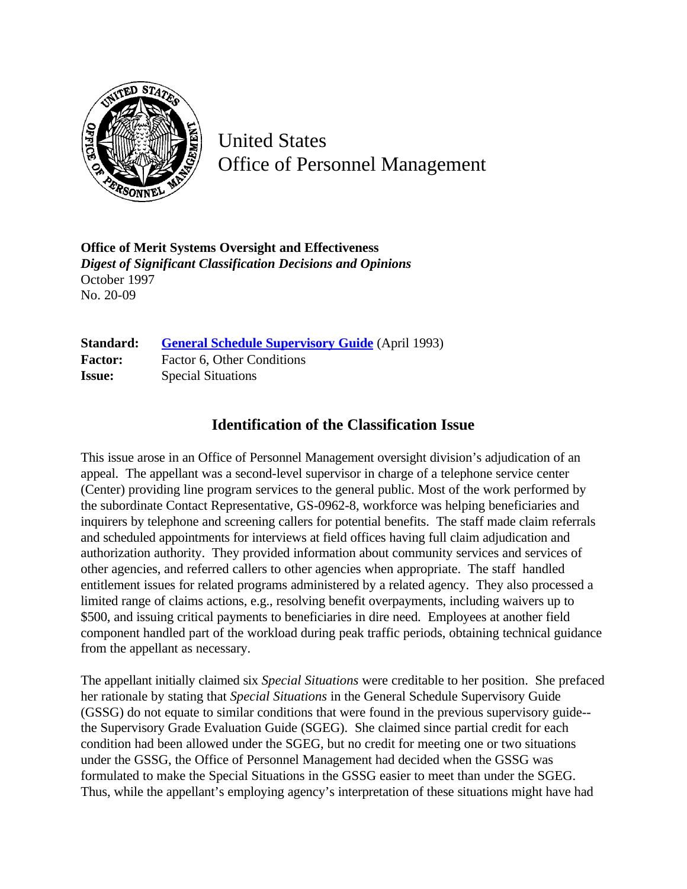

United States Office of Personnel Management

**Office of Merit Systems Oversight and Effectiveness** *Digest of Significant Classification Decisions and Opinions* October 1997 No. 20-09

| Standard:      | <b>General Schedule Supervisory Guide</b> (April 1993) |
|----------------|--------------------------------------------------------|
| <b>Factor:</b> | Factor 6, Other Conditions                             |
| <b>Issue:</b>  | <b>Special Situations</b>                              |

# **Identification of the Classification Issue**

This issue arose in an Office of Personnel Management oversight division's adjudication of an appeal. The appellant was a second-level supervisor in charge of a telephone service center (Center) providing line program services to the general public. Most of the work performed by the subordinate Contact Representative, GS-0962-8, workforce was helping beneficiaries and inquirers by telephone and screening callers for potential benefits. The staff made claim referrals and scheduled appointments for interviews at field offices having full claim adjudication and authorization authority. They provided information about community services and services of other agencies, and referred callers to other agencies when appropriate. The staff handled entitlement issues for related programs administered by a related agency. They also processed a limited range of claims actions, e.g., resolving benefit overpayments, including waivers up to \$500, and issuing critical payments to beneficiaries in dire need. Employees at another field component handled part of the workload during peak traffic periods, obtaining technical guidance from the appellant as necessary.

The appellant initially claimed six *Special Situations* were creditable to her position. She prefaced her rationale by stating that *Special Situations* in the General Schedule Supervisory Guide (GSSG) do not equate to similar conditions that were found in the previous supervisory guide- the Supervisory Grade Evaluation Guide (SGEG). She claimed since partial credit for each condition had been allowed under the SGEG, but no credit for meeting one or two situations under the GSSG, the Office of Personnel Management had decided when the GSSG was formulated to make the Special Situations in the GSSG easier to meet than under the SGEG. Thus, while the appellant's employing agency's interpretation of these situations might have had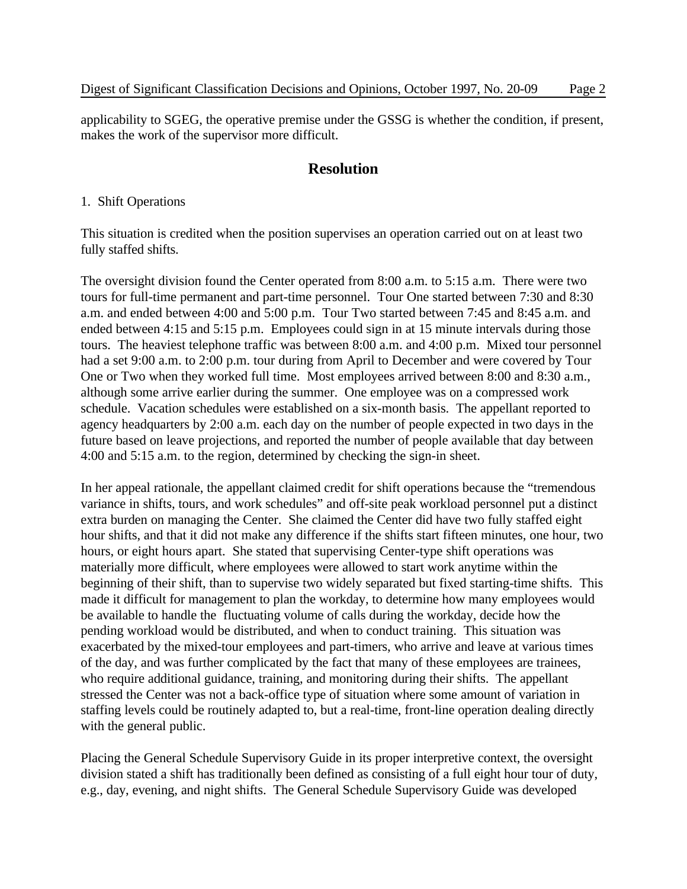applicability to SGEG, the operative premise under the GSSG is whether the condition, if present, makes the work of the supervisor more difficult.

# **Resolution**

#### 1. Shift Operations

This situation is credited when the position supervises an operation carried out on at least two fully staffed shifts.

The oversight division found the Center operated from 8:00 a.m. to 5:15 a.m. There were two tours for full-time permanent and part-time personnel. Tour One started between 7:30 and 8:30 a.m. and ended between 4:00 and 5:00 p.m. Tour Two started between 7:45 and 8:45 a.m. and ended between 4:15 and 5:15 p.m. Employees could sign in at 15 minute intervals during those tours. The heaviest telephone traffic was between 8:00 a.m. and 4:00 p.m. Mixed tour personnel had a set 9:00 a.m. to 2:00 p.m. tour during from April to December and were covered by Tour One or Two when they worked full time. Most employees arrived between 8:00 and 8:30 a.m., although some arrive earlier during the summer. One employee was on a compressed work schedule. Vacation schedules were established on a six-month basis. The appellant reported to agency headquarters by 2:00 a.m. each day on the number of people expected in two days in the future based on leave projections, and reported the number of people available that day between 4:00 and 5:15 a.m. to the region, determined by checking the sign-in sheet.

In her appeal rationale, the appellant claimed credit for shift operations because the "tremendous variance in shifts, tours, and work schedules" and off-site peak workload personnel put a distinct extra burden on managing the Center. She claimed the Center did have two fully staffed eight hour shifts, and that it did not make any difference if the shifts start fifteen minutes, one hour, two hours, or eight hours apart. She stated that supervising Center-type shift operations was materially more difficult, where employees were allowed to start work anytime within the beginning of their shift, than to supervise two widely separated but fixed starting-time shifts. This made it difficult for management to plan the workday, to determine how many employees would be available to handle the fluctuating volume of calls during the workday, decide how the pending workload would be distributed, and when to conduct training. This situation was exacerbated by the mixed-tour employees and part-timers, who arrive and leave at various times of the day, and was further complicated by the fact that many of these employees are trainees, who require additional guidance, training, and monitoring during their shifts. The appellant stressed the Center was not a back-office type of situation where some amount of variation in staffing levels could be routinely adapted to, but a real-time, front-line operation dealing directly with the general public.

Placing the General Schedule Supervisory Guide in its proper interpretive context, the oversight division stated a shift has traditionally been defined as consisting of a full eight hour tour of duty, e.g., day, evening, and night shifts. The General Schedule Supervisory Guide was developed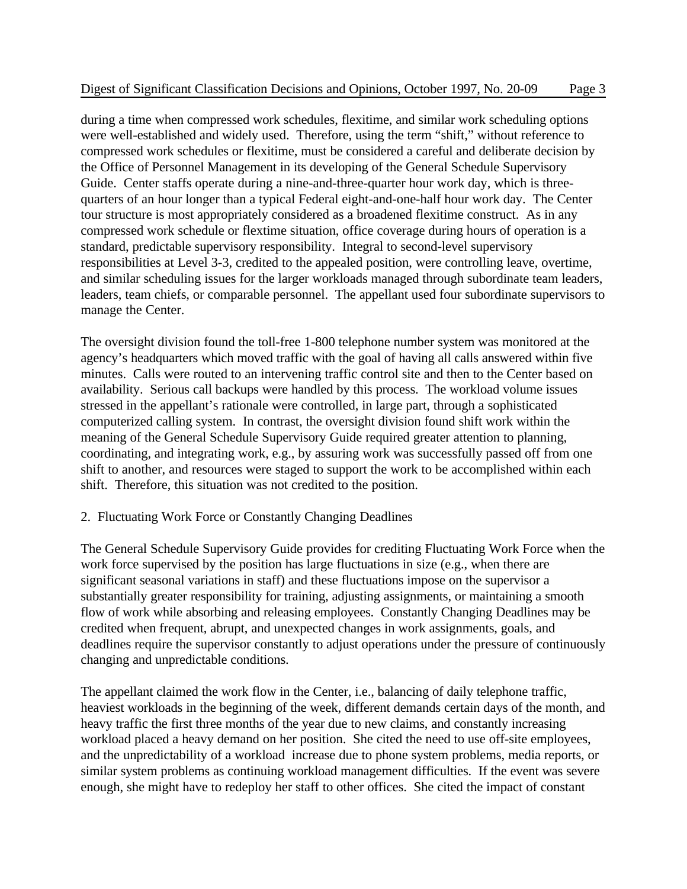during a time when compressed work schedules, flexitime, and similar work scheduling options were well-established and widely used. Therefore, using the term "shift," without reference to compressed work schedules or flexitime, must be considered a careful and deliberate decision by the Office of Personnel Management in its developing of the General Schedule Supervisory Guide. Center staffs operate during a nine-and-three-quarter hour work day, which is threequarters of an hour longer than a typical Federal eight-and-one-half hour work day. The Center tour structure is most appropriately considered as a broadened flexitime construct. As in any compressed work schedule or flextime situation, office coverage during hours of operation is a standard, predictable supervisory responsibility. Integral to second-level supervisory responsibilities at Level 3-3, credited to the appealed position, were controlling leave, overtime, and similar scheduling issues for the larger workloads managed through subordinate team leaders, leaders, team chiefs, or comparable personnel. The appellant used four subordinate supervisors to manage the Center.

The oversight division found the toll-free 1-800 telephone number system was monitored at the agency's headquarters which moved traffic with the goal of having all calls answered within five minutes. Calls were routed to an intervening traffic control site and then to the Center based on availability. Serious call backups were handled by this process. The workload volume issues stressed in the appellant's rationale were controlled, in large part, through a sophisticated computerized calling system. In contrast, the oversight division found shift work within the meaning of the General Schedule Supervisory Guide required greater attention to planning, coordinating, and integrating work, e.g., by assuring work was successfully passed off from one shift to another, and resources were staged to support the work to be accomplished within each shift. Therefore, this situation was not credited to the position.

## 2. Fluctuating Work Force or Constantly Changing Deadlines

The General Schedule Supervisory Guide provides for crediting Fluctuating Work Force when the work force supervised by the position has large fluctuations in size (e.g., when there are significant seasonal variations in staff) and these fluctuations impose on the supervisor a substantially greater responsibility for training, adjusting assignments, or maintaining a smooth flow of work while absorbing and releasing employees. Constantly Changing Deadlines may be credited when frequent, abrupt, and unexpected changes in work assignments, goals, and deadlines require the supervisor constantly to adjust operations under the pressure of continuously changing and unpredictable conditions.

The appellant claimed the work flow in the Center, i.e., balancing of daily telephone traffic, heaviest workloads in the beginning of the week, different demands certain days of the month, and heavy traffic the first three months of the year due to new claims, and constantly increasing workload placed a heavy demand on her position. She cited the need to use off-site employees, and the unpredictability of a workload increase due to phone system problems, media reports, or similar system problems as continuing workload management difficulties. If the event was severe enough, she might have to redeploy her staff to other offices. She cited the impact of constant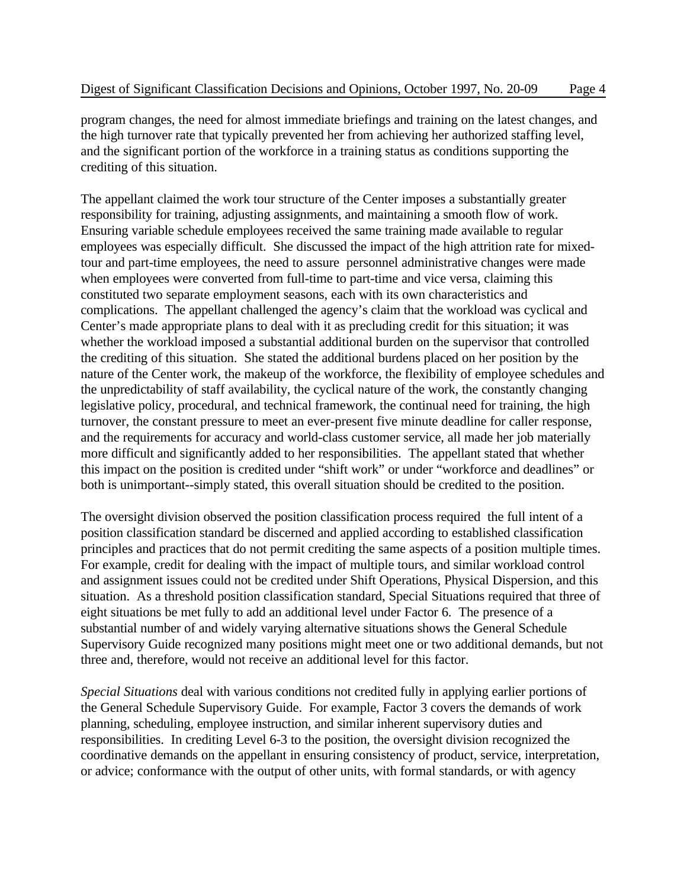program changes, the need for almost immediate briefings and training on the latest changes, and the high turnover rate that typically prevented her from achieving her authorized staffing level, and the significant portion of the workforce in a training status as conditions supporting the crediting of this situation.

The appellant claimed the work tour structure of the Center imposes a substantially greater responsibility for training, adjusting assignments, and maintaining a smooth flow of work. Ensuring variable schedule employees received the same training made available to regular employees was especially difficult. She discussed the impact of the high attrition rate for mixedtour and part-time employees, the need to assure personnel administrative changes were made when employees were converted from full-time to part-time and vice versa, claiming this constituted two separate employment seasons, each with its own characteristics and complications. The appellant challenged the agency's claim that the workload was cyclical and Center's made appropriate plans to deal with it as precluding credit for this situation; it was whether the workload imposed a substantial additional burden on the supervisor that controlled the crediting of this situation. She stated the additional burdens placed on her position by the nature of the Center work, the makeup of the workforce, the flexibility of employee schedules and the unpredictability of staff availability, the cyclical nature of the work, the constantly changing legislative policy, procedural, and technical framework, the continual need for training, the high turnover, the constant pressure to meet an ever-present five minute deadline for caller response, and the requirements for accuracy and world-class customer service, all made her job materially more difficult and significantly added to her responsibilities. The appellant stated that whether this impact on the position is credited under "shift work" or under "workforce and deadlines" or both is unimportant--simply stated, this overall situation should be credited to the position.

The oversight division observed the position classification process required the full intent of a position classification standard be discerned and applied according to established classification principles and practices that do not permit crediting the same aspects of a position multiple times. For example, credit for dealing with the impact of multiple tours, and similar workload control and assignment issues could not be credited under Shift Operations, Physical Dispersion, and this situation. As a threshold position classification standard, Special Situations required that three of eight situations be met fully to add an additional level under Factor 6. The presence of a substantial number of and widely varying alternative situations shows the General Schedule Supervisory Guide recognized many positions might meet one or two additional demands, but not three and, therefore, would not receive an additional level for this factor.

*Special Situations* deal with various conditions not credited fully in applying earlier portions of the General Schedule Supervisory Guide. For example, Factor 3 covers the demands of work planning, scheduling, employee instruction, and similar inherent supervisory duties and responsibilities. In crediting Level 6-3 to the position, the oversight division recognized the coordinative demands on the appellant in ensuring consistency of product, service, interpretation, or advice; conformance with the output of other units, with formal standards, or with agency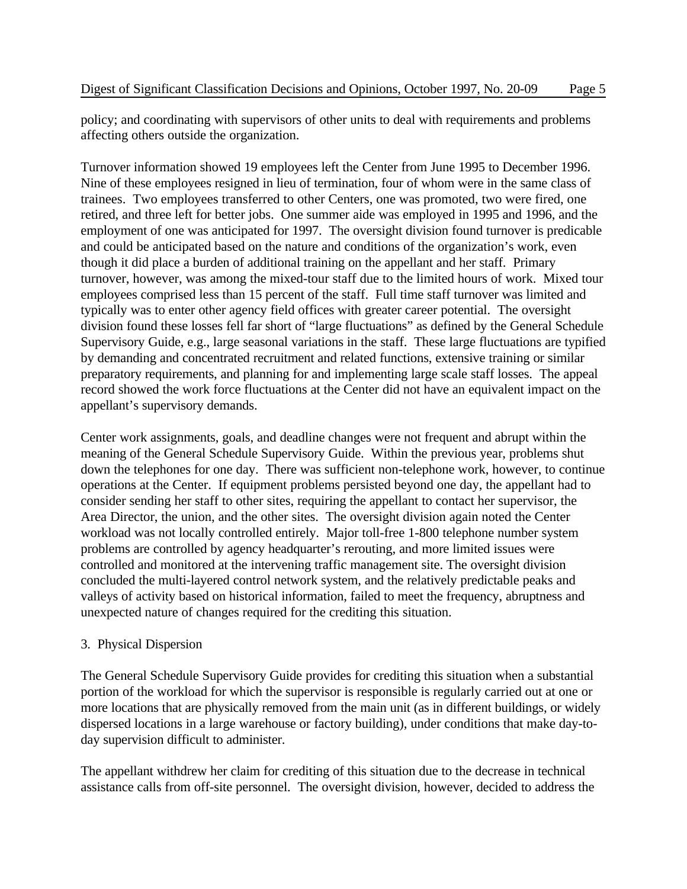policy; and coordinating with supervisors of other units to deal with requirements and problems affecting others outside the organization.

Turnover information showed 19 employees left the Center from June 1995 to December 1996. Nine of these employees resigned in lieu of termination, four of whom were in the same class of trainees. Two employees transferred to other Centers, one was promoted, two were fired, one retired, and three left for better jobs. One summer aide was employed in 1995 and 1996, and the employment of one was anticipated for 1997. The oversight division found turnover is predicable and could be anticipated based on the nature and conditions of the organization's work, even though it did place a burden of additional training on the appellant and her staff. Primary turnover, however, was among the mixed-tour staff due to the limited hours of work. Mixed tour employees comprised less than 15 percent of the staff. Full time staff turnover was limited and typically was to enter other agency field offices with greater career potential. The oversight division found these losses fell far short of "large fluctuations" as defined by the General Schedule Supervisory Guide, e.g., large seasonal variations in the staff. These large fluctuations are typified by demanding and concentrated recruitment and related functions, extensive training or similar preparatory requirements, and planning for and implementing large scale staff losses. The appeal record showed the work force fluctuations at the Center did not have an equivalent impact on the appellant's supervisory demands.

Center work assignments, goals, and deadline changes were not frequent and abrupt within the meaning of the General Schedule Supervisory Guide. Within the previous year, problems shut down the telephones for one day. There was sufficient non-telephone work, however, to continue operations at the Center. If equipment problems persisted beyond one day, the appellant had to consider sending her staff to other sites, requiring the appellant to contact her supervisor, the Area Director, the union, and the other sites. The oversight division again noted the Center workload was not locally controlled entirely. Major toll-free 1-800 telephone number system problems are controlled by agency headquarter's rerouting, and more limited issues were controlled and monitored at the intervening traffic management site. The oversight division concluded the multi-layered control network system, and the relatively predictable peaks and valleys of activity based on historical information, failed to meet the frequency, abruptness and unexpected nature of changes required for the crediting this situation.

## 3. Physical Dispersion

The General Schedule Supervisory Guide provides for crediting this situation when a substantial portion of the workload for which the supervisor is responsible is regularly carried out at one or more locations that are physically removed from the main unit (as in different buildings, or widely dispersed locations in a large warehouse or factory building), under conditions that make day-today supervision difficult to administer.

The appellant withdrew her claim for crediting of this situation due to the decrease in technical assistance calls from off-site personnel. The oversight division, however, decided to address the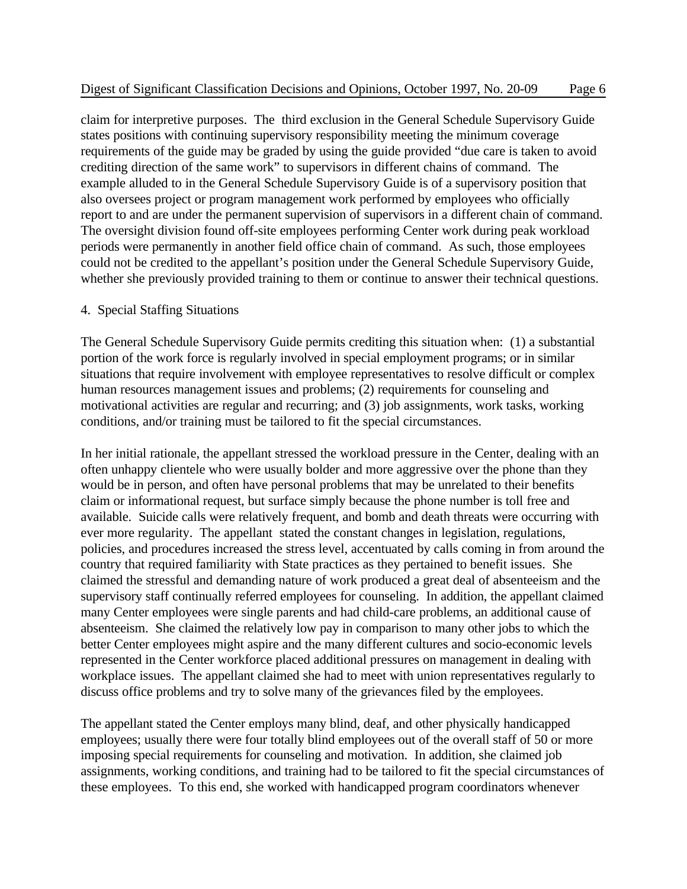claim for interpretive purposes. The third exclusion in the General Schedule Supervisory Guide states positions with continuing supervisory responsibility meeting the minimum coverage requirements of the guide may be graded by using the guide provided "due care is taken to avoid crediting direction of the same work" to supervisors in different chains of command. The example alluded to in the General Schedule Supervisory Guide is of a supervisory position that also oversees project or program management work performed by employees who officially report to and are under the permanent supervision of supervisors in a different chain of command. The oversight division found off-site employees performing Center work during peak workload periods were permanently in another field office chain of command. As such, those employees could not be credited to the appellant's position under the General Schedule Supervisory Guide, whether she previously provided training to them or continue to answer their technical questions.

#### 4. Special Staffing Situations

The General Schedule Supervisory Guide permits crediting this situation when: (1) a substantial portion of the work force is regularly involved in special employment programs; or in similar situations that require involvement with employee representatives to resolve difficult or complex human resources management issues and problems; (2) requirements for counseling and motivational activities are regular and recurring; and (3) job assignments, work tasks, working conditions, and/or training must be tailored to fit the special circumstances.

In her initial rationale, the appellant stressed the workload pressure in the Center, dealing with an often unhappy clientele who were usually bolder and more aggressive over the phone than they would be in person, and often have personal problems that may be unrelated to their benefits claim or informational request, but surface simply because the phone number is toll free and available. Suicide calls were relatively frequent, and bomb and death threats were occurring with ever more regularity. The appellant stated the constant changes in legislation, regulations, policies, and procedures increased the stress level, accentuated by calls coming in from around the country that required familiarity with State practices as they pertained to benefit issues. She claimed the stressful and demanding nature of work produced a great deal of absenteeism and the supervisory staff continually referred employees for counseling. In addition, the appellant claimed many Center employees were single parents and had child-care problems, an additional cause of absenteeism. She claimed the relatively low pay in comparison to many other jobs to which the better Center employees might aspire and the many different cultures and socio-economic levels represented in the Center workforce placed additional pressures on management in dealing with workplace issues. The appellant claimed she had to meet with union representatives regularly to discuss office problems and try to solve many of the grievances filed by the employees.

The appellant stated the Center employs many blind, deaf, and other physically handicapped employees; usually there were four totally blind employees out of the overall staff of 50 or more imposing special requirements for counseling and motivation. In addition, she claimed job assignments, working conditions, and training had to be tailored to fit the special circumstances of these employees. To this end, she worked with handicapped program coordinators whenever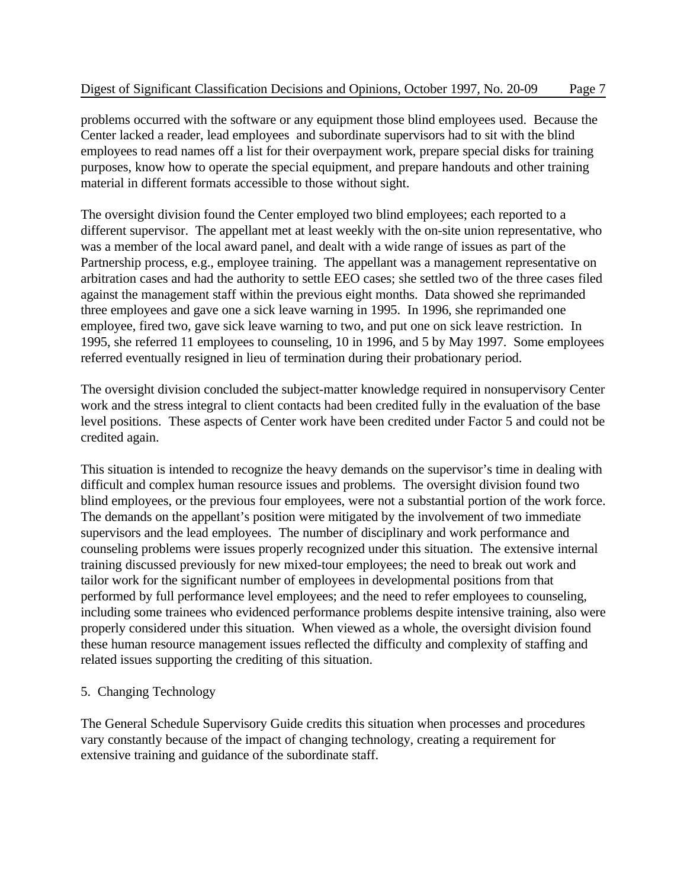problems occurred with the software or any equipment those blind employees used. Because the Center lacked a reader, lead employees and subordinate supervisors had to sit with the blind employees to read names off a list for their overpayment work, prepare special disks for training purposes, know how to operate the special equipment, and prepare handouts and other training material in different formats accessible to those without sight.

The oversight division found the Center employed two blind employees; each reported to a different supervisor. The appellant met at least weekly with the on-site union representative, who was a member of the local award panel, and dealt with a wide range of issues as part of the Partnership process, e.g., employee training. The appellant was a management representative on arbitration cases and had the authority to settle EEO cases; she settled two of the three cases filed against the management staff within the previous eight months. Data showed she reprimanded three employees and gave one a sick leave warning in 1995. In 1996, she reprimanded one employee, fired two, gave sick leave warning to two, and put one on sick leave restriction. In 1995, she referred 11 employees to counseling, 10 in 1996, and 5 by May 1997. Some employees referred eventually resigned in lieu of termination during their probationary period.

The oversight division concluded the subject-matter knowledge required in nonsupervisory Center work and the stress integral to client contacts had been credited fully in the evaluation of the base level positions. These aspects of Center work have been credited under Factor 5 and could not be credited again.

This situation is intended to recognize the heavy demands on the supervisor's time in dealing with difficult and complex human resource issues and problems. The oversight division found two blind employees, or the previous four employees, were not a substantial portion of the work force. The demands on the appellant's position were mitigated by the involvement of two immediate supervisors and the lead employees. The number of disciplinary and work performance and counseling problems were issues properly recognized under this situation. The extensive internal training discussed previously for new mixed-tour employees; the need to break out work and tailor work for the significant number of employees in developmental positions from that performed by full performance level employees; and the need to refer employees to counseling, including some trainees who evidenced performance problems despite intensive training, also were properly considered under this situation. When viewed as a whole, the oversight division found these human resource management issues reflected the difficulty and complexity of staffing and related issues supporting the crediting of this situation.

## 5. Changing Technology

The General Schedule Supervisory Guide credits this situation when processes and procedures vary constantly because of the impact of changing technology, creating a requirement for extensive training and guidance of the subordinate staff.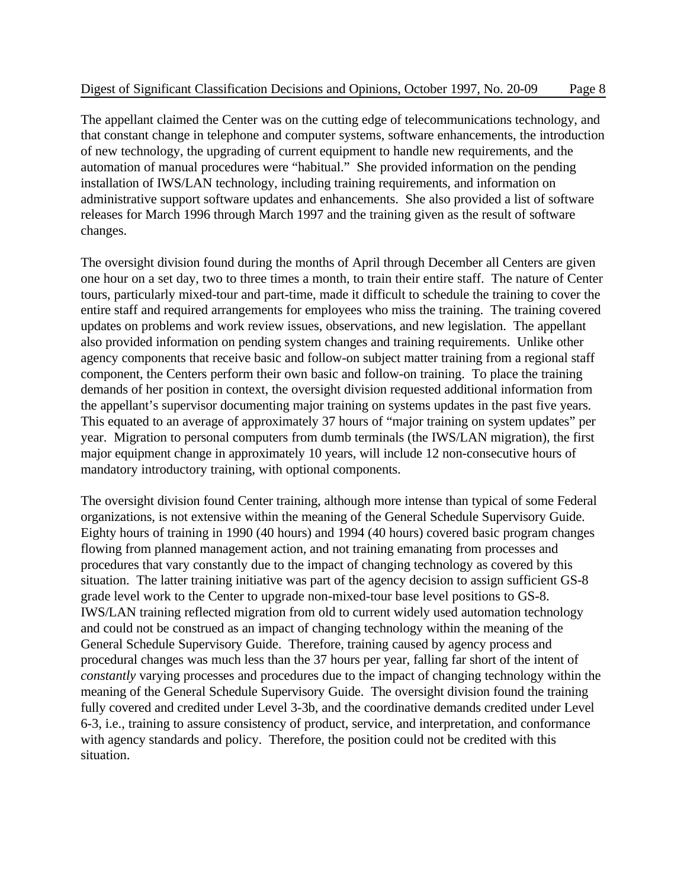The appellant claimed the Center was on the cutting edge of telecommunications technology, and that constant change in telephone and computer systems, software enhancements, the introduction of new technology, the upgrading of current equipment to handle new requirements, and the automation of manual procedures were "habitual." She provided information on the pending installation of IWS/LAN technology, including training requirements, and information on administrative support software updates and enhancements. She also provided a list of software releases for March 1996 through March 1997 and the training given as the result of software changes.

The oversight division found during the months of April through December all Centers are given one hour on a set day, two to three times a month, to train their entire staff. The nature of Center tours, particularly mixed-tour and part-time, made it difficult to schedule the training to cover the entire staff and required arrangements for employees who miss the training. The training covered updates on problems and work review issues, observations, and new legislation. The appellant also provided information on pending system changes and training requirements. Unlike other agency components that receive basic and follow-on subject matter training from a regional staff component, the Centers perform their own basic and follow-on training. To place the training demands of her position in context, the oversight division requested additional information from the appellant's supervisor documenting major training on systems updates in the past five years. This equated to an average of approximately 37 hours of "major training on system updates" per year. Migration to personal computers from dumb terminals (the IWS/LAN migration), the first major equipment change in approximately 10 years, will include 12 non-consecutive hours of mandatory introductory training, with optional components.

The oversight division found Center training, although more intense than typical of some Federal organizations, is not extensive within the meaning of the General Schedule Supervisory Guide. Eighty hours of training in 1990 (40 hours) and 1994 (40 hours) covered basic program changes flowing from planned management action, and not training emanating from processes and procedures that vary constantly due to the impact of changing technology as covered by this situation. The latter training initiative was part of the agency decision to assign sufficient GS-8 grade level work to the Center to upgrade non-mixed-tour base level positions to GS-8. IWS/LAN training reflected migration from old to current widely used automation technology and could not be construed as an impact of changing technology within the meaning of the General Schedule Supervisory Guide. Therefore, training caused by agency process and procedural changes was much less than the 37 hours per year, falling far short of the intent of *constantly* varying processes and procedures due to the impact of changing technology within the meaning of the General Schedule Supervisory Guide. The oversight division found the training fully covered and credited under Level 3-3b, and the coordinative demands credited under Level 6-3, i.e., training to assure consistency of product, service, and interpretation, and conformance with agency standards and policy. Therefore, the position could not be credited with this situation.